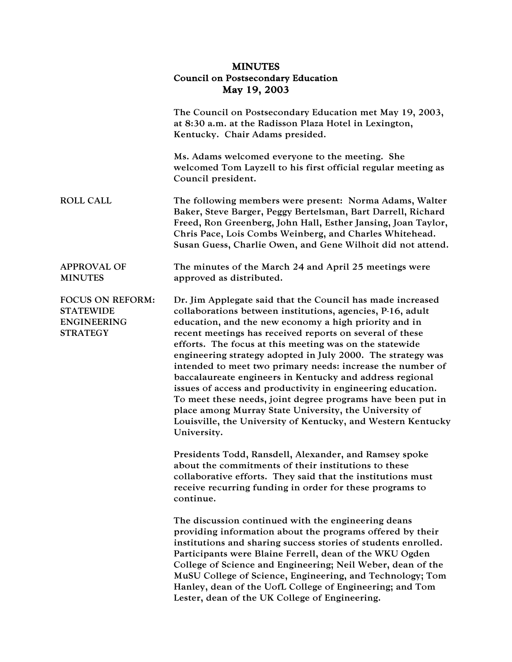## MINUTES Council on Postsecondary Education May 19, 2003

|                                                                               | The Council on Postsecondary Education met May 19, 2003,<br>at 8:30 a.m. at the Radisson Plaza Hotel in Lexington,<br>Kentucky. Chair Adams presided.                                                                                                                                                                                                                                                                                                                                                                                                                                                                                                                                                                                                                    |
|-------------------------------------------------------------------------------|--------------------------------------------------------------------------------------------------------------------------------------------------------------------------------------------------------------------------------------------------------------------------------------------------------------------------------------------------------------------------------------------------------------------------------------------------------------------------------------------------------------------------------------------------------------------------------------------------------------------------------------------------------------------------------------------------------------------------------------------------------------------------|
|                                                                               | Ms. Adams welcomed everyone to the meeting. She<br>welcomed Tom Layzell to his first official regular meeting as<br>Council president.                                                                                                                                                                                                                                                                                                                                                                                                                                                                                                                                                                                                                                   |
| <b>ROLL CALL</b>                                                              | The following members were present: Norma Adams, Walter<br>Baker, Steve Barger, Peggy Bertelsman, Bart Darrell, Richard<br>Freed, Ron Greenberg, John Hall, Esther Jansing, Joan Taylor,<br>Chris Pace, Lois Combs Weinberg, and Charles Whitehead.<br>Susan Guess, Charlie Owen, and Gene Wilhoit did not attend.                                                                                                                                                                                                                                                                                                                                                                                                                                                       |
| <b>APPROVAL OF</b><br><b>MINUTES</b>                                          | The minutes of the March 24 and April 25 meetings were<br>approved as distributed.                                                                                                                                                                                                                                                                                                                                                                                                                                                                                                                                                                                                                                                                                       |
| FOCUS ON REFORM:<br><b>STATEWIDE</b><br><b>ENGINEERING</b><br><b>STRATEGY</b> | Dr. Jim Applegate said that the Council has made increased<br>collaborations between institutions, agencies, P-16, adult<br>education, and the new economy a high priority and in<br>recent meetings has received reports on several of these<br>efforts. The focus at this meeting was on the statewide<br>engineering strategy adopted in July 2000. The strategy was<br>intended to meet two primary needs: increase the number of<br>baccalaureate engineers in Kentucky and address regional<br>issues of access and productivity in engineering education.<br>To meet these needs, joint degree programs have been put in<br>place among Murray State University, the University of<br>Louisville, the University of Kentucky, and Western Kentucky<br>University. |
|                                                                               | Presidents Todd, Ransdell, Alexander, and Ramsey spoke<br>about the commitments of their institutions to these<br>collaborative efforts. They said that the institutions must<br>receive recurring funding in order for these programs to<br>continue.                                                                                                                                                                                                                                                                                                                                                                                                                                                                                                                   |
|                                                                               | The discussion continued with the engineering deans<br>providing information about the programs offered by their<br>institutions and sharing success stories of students enrolled.<br>Participants were Blaine Ferrell, dean of the WKU Ogden<br>College of Science and Engineering; Neil Weber, dean of the<br>MuSU College of Science, Engineering, and Technology; Tom<br>Hanley, dean of the UofL College of Engineering; and Tom<br>Lester, dean of the UK College of Engineering.                                                                                                                                                                                                                                                                                  |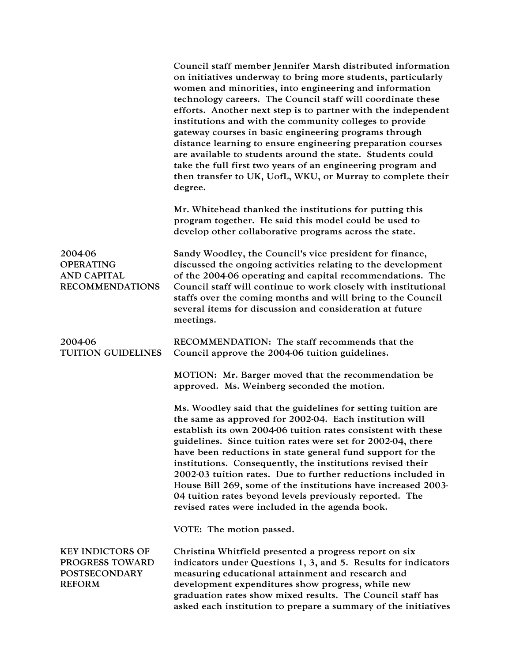|                                                                                     | Council staff member Jennifer Marsh distributed information<br>on initiatives underway to bring more students, particularly<br>women and minorities, into engineering and information<br>technology careers. The Council staff will coordinate these<br>efforts. Another next step is to partner with the independent<br>institutions and with the community colleges to provide<br>gateway courses in basic engineering programs through<br>distance learning to ensure engineering preparation courses<br>are available to students around the state. Students could<br>take the full first two years of an engineering program and<br>then transfer to UK, UofL, WKU, or Murray to complete their<br>degree. |
|-------------------------------------------------------------------------------------|-----------------------------------------------------------------------------------------------------------------------------------------------------------------------------------------------------------------------------------------------------------------------------------------------------------------------------------------------------------------------------------------------------------------------------------------------------------------------------------------------------------------------------------------------------------------------------------------------------------------------------------------------------------------------------------------------------------------|
|                                                                                     | Mr. Whitehead thanked the institutions for putting this<br>program together. He said this model could be used to<br>develop other collaborative programs across the state.                                                                                                                                                                                                                                                                                                                                                                                                                                                                                                                                      |
| 2004-06<br><b>OPERATING</b><br><b>AND CAPITAL</b><br><b>RECOMMENDATIONS</b>         | Sandy Woodley, the Council's vice president for finance,<br>discussed the ongoing activities relating to the development<br>of the 2004-06 operating and capital recommendations. The<br>Council staff will continue to work closely with institutional<br>staffs over the coming months and will bring to the Council<br>several items for discussion and consideration at future<br>meetings.                                                                                                                                                                                                                                                                                                                 |
| 2004-06<br><b>TUITION GUIDELINES</b>                                                | RECOMMENDATION: The staff recommends that the<br>Council approve the 2004-06 tuition guidelines.                                                                                                                                                                                                                                                                                                                                                                                                                                                                                                                                                                                                                |
|                                                                                     | MOTION: Mr. Barger moved that the recommendation be<br>approved. Ms. Weinberg seconded the motion.                                                                                                                                                                                                                                                                                                                                                                                                                                                                                                                                                                                                              |
|                                                                                     | Ms. Woodley said that the guidelines for setting tuition are<br>the same as approved for 2002-04. Each institution will<br>establish its own 2004-06 tuition rates consistent with these<br>guidelines. Since tuition rates were set for 2002-04, there<br>have been reductions in state general fund support for the<br>institutions. Consequently, the institutions revised their<br>2002-03 tuition rates. Due to further reductions included in<br>House Bill 269, some of the institutions have increased 2003-<br>04 tuition rates beyond levels previously reported. The<br>revised rates were included in the agenda book.                                                                              |
|                                                                                     | VOTE: The motion passed.                                                                                                                                                                                                                                                                                                                                                                                                                                                                                                                                                                                                                                                                                        |
| <b>KEY INDICTORS OF</b><br>PROGRESS TOWARD<br><b>POSTSECONDARY</b><br><b>REFORM</b> | Christina Whitfield presented a progress report on six<br>indicators under Questions 1, 3, and 5. Results for indicators<br>measuring educational attainment and research and<br>development expenditures show progress, while new<br>graduation rates show mixed results. The Council staff has<br>asked each institution to prepare a summary of the initiatives                                                                                                                                                                                                                                                                                                                                              |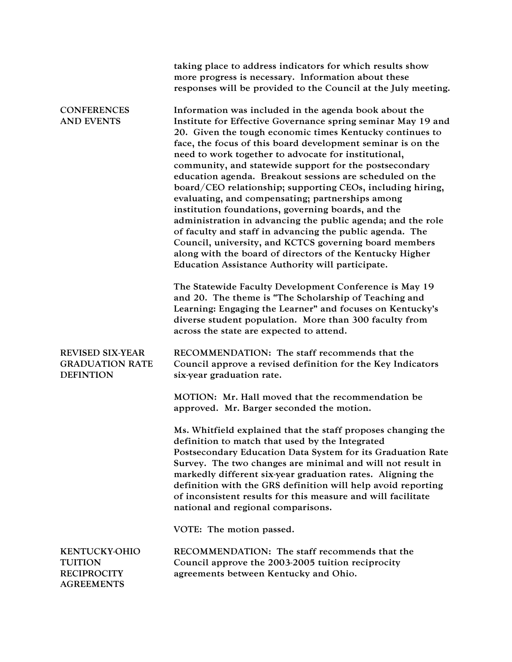|                                                                                   | taking place to address indicators for which results show<br>more progress is necessary. Information about these<br>responses will be provided to the Council at the July meeting.                                                                                                                                                                                                                                                                                                                                                                                                                                                                                                                                                                                                                                                                                                                          |
|-----------------------------------------------------------------------------------|-------------------------------------------------------------------------------------------------------------------------------------------------------------------------------------------------------------------------------------------------------------------------------------------------------------------------------------------------------------------------------------------------------------------------------------------------------------------------------------------------------------------------------------------------------------------------------------------------------------------------------------------------------------------------------------------------------------------------------------------------------------------------------------------------------------------------------------------------------------------------------------------------------------|
| <b>CONFERENCES</b><br><b>AND EVENTS</b>                                           | Information was included in the agenda book about the<br>Institute for Effective Governance spring seminar May 19 and<br>20. Given the tough economic times Kentucky continues to<br>face, the focus of this board development seminar is on the<br>need to work together to advocate for institutional,<br>community, and statewide support for the postsecondary<br>education agenda. Breakout sessions are scheduled on the<br>board/CEO relationship; supporting CEOs, including hiring,<br>evaluating, and compensating; partnerships among<br>institution foundations, governing boards, and the<br>administration in advancing the public agenda; and the role<br>of faculty and staff in advancing the public agenda. The<br>Council, university, and KCTCS governing board members<br>along with the board of directors of the Kentucky Higher<br>Education Assistance Authority will participate. |
|                                                                                   | The Statewide Faculty Development Conference is May 19<br>and 20. The theme is "The Scholarship of Teaching and<br>Learning: Engaging the Learner" and focuses on Kentucky's<br>diverse student population. More than 300 faculty from<br>across the state are expected to attend.                                                                                                                                                                                                                                                                                                                                                                                                                                                                                                                                                                                                                          |
| <b>REVISED SIX-YEAR</b><br><b>GRADUATION RATE</b><br><b>DEFINTION</b>             | RECOMMENDATION: The staff recommends that the<br>Council approve a revised definition for the Key Indicators<br>six-year graduation rate.                                                                                                                                                                                                                                                                                                                                                                                                                                                                                                                                                                                                                                                                                                                                                                   |
|                                                                                   | MOTION: Mr. Hall moved that the recommendation be<br>approved. Mr. Barger seconded the motion.                                                                                                                                                                                                                                                                                                                                                                                                                                                                                                                                                                                                                                                                                                                                                                                                              |
|                                                                                   | Ms. Whitfield explained that the staff proposes changing the<br>definition to match that used by the Integrated<br>Postsecondary Education Data System for its Graduation Rate<br>Survey. The two changes are minimal and will not result in<br>markedly different six-year graduation rates. Aligning the<br>definition with the GRS definition will help avoid reporting<br>of inconsistent results for this measure and will facilitate<br>national and regional comparisons.                                                                                                                                                                                                                                                                                                                                                                                                                            |
|                                                                                   | VOTE: The motion passed.                                                                                                                                                                                                                                                                                                                                                                                                                                                                                                                                                                                                                                                                                                                                                                                                                                                                                    |
| <b>KENTUCKY-OHIO</b><br><b>TUITION</b><br><b>RECIPROCITY</b><br><b>AGREEMENTS</b> | RECOMMENDATION: The staff recommends that the<br>Council approve the 2003-2005 tuition reciprocity<br>agreements between Kentucky and Ohio.                                                                                                                                                                                                                                                                                                                                                                                                                                                                                                                                                                                                                                                                                                                                                                 |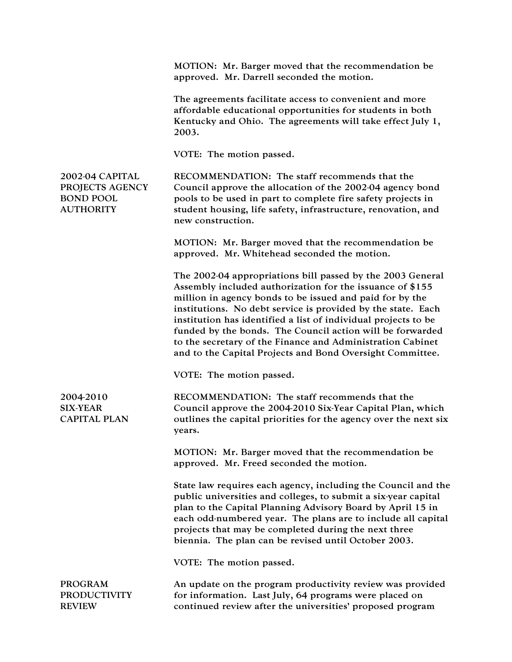MOTION: Mr. Barger moved that the recommendation be approved. Mr. Darrell seconded the motion. The agreements facilitate access to convenient and more affordable educational opportunities for students in both Kentucky and Ohio. The agreements will take effect July 1, 2003. VOTE: The motion passed. 2002-04 CAPITAL PROJECTS AGENCY BOND POOL AUTHORITY RECOMMENDATION: The staff recommends that the Council approve the allocation of the 2002-04 agency bond pools to be used in part to complete fire safety projects in student housing, life safety, infrastructure, renovation, and new construction. MOTION: Mr. Barger moved that the recommendation be approved. Mr. Whitehead seconded the motion. The 2002-04 appropriations bill passed by the 2003 General Assembly included authorization for the issuance of \$155 million in agency bonds to be issued and paid for by the institutions. No debt service is provided by the state. Each institution has identified a list of individual projects to be funded by the bonds. The Council action will be forwarded to the secretary of the Finance and Administration Cabinet and to the Capital Projects and Bond Oversight Committee. VOTE: The motion passed. 2004-2010 SIX-YEAR CAPITAL PLAN RECOMMENDATION: The staff recommends that the Council approve the 2004-2010 Six-Year Capital Plan, which outlines the capital priorities for the agency over the next six years. MOTION: Mr. Barger moved that the recommendation be approved. Mr. Freed seconded the motion. State law requires each agency, including the Council and the public universities and colleges, to submit a six-year capital plan to the Capital Planning Advisory Board by April 15 in each odd-numbered year. The plans are to include all capital projects that may be completed during the next three biennia. The plan can be revised until October 2003. VOTE: The motion passed. PROGRAM PRODUCTIVITY REVIEW An update on the program productivity review was provided for information. Last July, 64 programs were placed on continued review after the universities' proposed program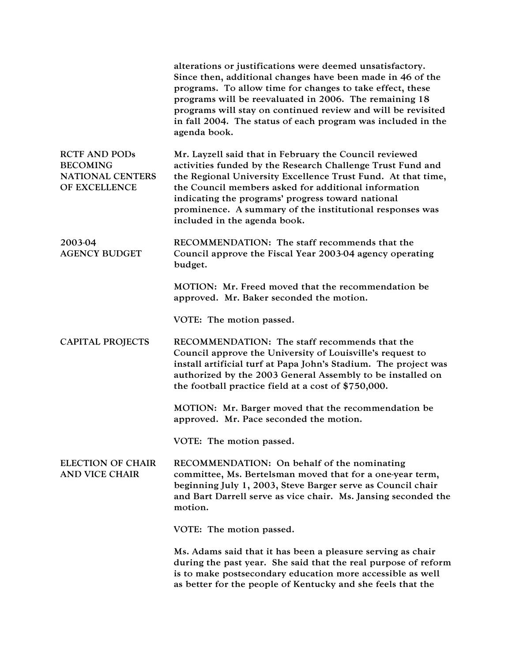|                                                                                     | alterations or justifications were deemed unsatisfactory.<br>Since then, additional changes have been made in 46 of the<br>programs. To allow time for changes to take effect, these<br>programs will be reevaluated in 2006. The remaining 18<br>programs will stay on continued review and will be revisited<br>in fall 2004. The status of each program was included in the<br>agenda book. |
|-------------------------------------------------------------------------------------|------------------------------------------------------------------------------------------------------------------------------------------------------------------------------------------------------------------------------------------------------------------------------------------------------------------------------------------------------------------------------------------------|
| <b>RCTF AND PODs</b><br><b>BECOMING</b><br><b>NATIONAL CENTERS</b><br>OF EXCELLENCE | Mr. Layzell said that in February the Council reviewed<br>activities funded by the Research Challenge Trust Fund and<br>the Regional University Excellence Trust Fund. At that time,<br>the Council members asked for additional information<br>indicating the programs' progress toward national<br>prominence. A summary of the institutional responses was<br>included in the agenda book.  |
| 2003-04<br><b>AGENCY BUDGET</b>                                                     | RECOMMENDATION: The staff recommends that the<br>Council approve the Fiscal Year 2003-04 agency operating<br>budget.                                                                                                                                                                                                                                                                           |
|                                                                                     | MOTION: Mr. Freed moved that the recommendation be<br>approved. Mr. Baker seconded the motion.                                                                                                                                                                                                                                                                                                 |
|                                                                                     | VOTE: The motion passed.                                                                                                                                                                                                                                                                                                                                                                       |
| <b>CAPITAL PROJECTS</b>                                                             | RECOMMENDATION: The staff recommends that the<br>Council approve the University of Louisville's request to<br>install artificial turf at Papa John's Stadium. The project was<br>authorized by the 2003 General Assembly to be installed on<br>the football practice field at a cost of $$750,000$ .                                                                                           |
|                                                                                     | MOTION: Mr. Barger moved that the recommendation be<br>approved. Mr. Pace seconded the motion.                                                                                                                                                                                                                                                                                                 |
|                                                                                     | VOTE: The motion passed.                                                                                                                                                                                                                                                                                                                                                                       |
| <b>ELECTION OF CHAIR</b><br><b>AND VICE CHAIR</b>                                   | RECOMMENDATION: On behalf of the nominating<br>committee, Ms. Bertelsman moved that for a one-year term,<br>beginning July 1, 2003, Steve Barger serve as Council chair<br>and Bart Darrell serve as vice chair. Ms. Jansing seconded the<br>motion.                                                                                                                                           |
|                                                                                     | VOTE: The motion passed.                                                                                                                                                                                                                                                                                                                                                                       |
|                                                                                     | Ms. Adams said that it has been a pleasure serving as chair<br>during the past year. She said that the real purpose of reform<br>is to make postsecondary education more accessible as well<br>as better for the people of Kentucky and she feels that the                                                                                                                                     |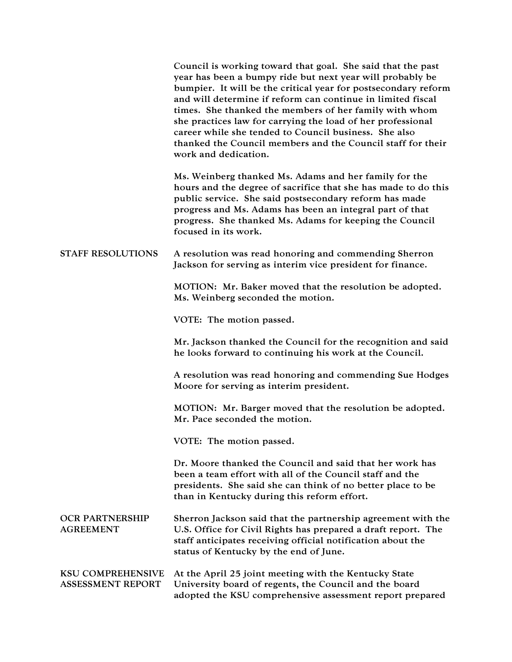|                                                      | Council is working toward that goal. She said that the past<br>year has been a bumpy ride but next year will probably be<br>bumpier. It will be the critical year for postsecondary reform<br>and will determine if reform can continue in limited fiscal<br>times. She thanked the members of her family with whom<br>she practices law for carrying the load of her professional<br>career while she tended to Council business. She also<br>thanked the Council members and the Council staff for their<br>work and dedication. |
|------------------------------------------------------|------------------------------------------------------------------------------------------------------------------------------------------------------------------------------------------------------------------------------------------------------------------------------------------------------------------------------------------------------------------------------------------------------------------------------------------------------------------------------------------------------------------------------------|
|                                                      | Ms. Weinberg thanked Ms. Adams and her family for the<br>hours and the degree of sacrifice that she has made to do this<br>public service. She said postsecondary reform has made<br>progress and Ms. Adams has been an integral part of that<br>progress. She thanked Ms. Adams for keeping the Council<br>focused in its work.                                                                                                                                                                                                   |
| <b>STAFF RESOLUTIONS</b>                             | A resolution was read honoring and commending Sherron<br>Jackson for serving as interim vice president for finance.                                                                                                                                                                                                                                                                                                                                                                                                                |
|                                                      | MOTION: Mr. Baker moved that the resolution be adopted.<br>Ms. Weinberg seconded the motion.                                                                                                                                                                                                                                                                                                                                                                                                                                       |
|                                                      | VOTE: The motion passed.                                                                                                                                                                                                                                                                                                                                                                                                                                                                                                           |
|                                                      | Mr. Jackson thanked the Council for the recognition and said<br>he looks forward to continuing his work at the Council.                                                                                                                                                                                                                                                                                                                                                                                                            |
|                                                      | A resolution was read honoring and commending Sue Hodges<br>Moore for serving as interim president.                                                                                                                                                                                                                                                                                                                                                                                                                                |
|                                                      | MOTION: Mr. Barger moved that the resolution be adopted.<br>Mr. Pace seconded the motion.                                                                                                                                                                                                                                                                                                                                                                                                                                          |
|                                                      | VOTE: The motion passed.                                                                                                                                                                                                                                                                                                                                                                                                                                                                                                           |
|                                                      | Dr. Moore thanked the Council and said that her work has<br>been a team effort with all of the Council staff and the<br>presidents. She said she can think of no better place to be<br>than in Kentucky during this reform effort.                                                                                                                                                                                                                                                                                                 |
| <b>OCR PARTNERSHIP</b><br><b>AGREEMENT</b>           | Sherron Jackson said that the partnership agreement with the<br>U.S. Office for Civil Rights has prepared a draft report. The<br>staff anticipates receiving official notification about the<br>status of Kentucky by the end of June.                                                                                                                                                                                                                                                                                             |
| <b>KSU COMPREHENSIVE</b><br><b>ASSESSMENT REPORT</b> | At the April 25 joint meeting with the Kentucky State<br>University board of regents, the Council and the board<br>adopted the KSU comprehensive assessment report prepared                                                                                                                                                                                                                                                                                                                                                        |